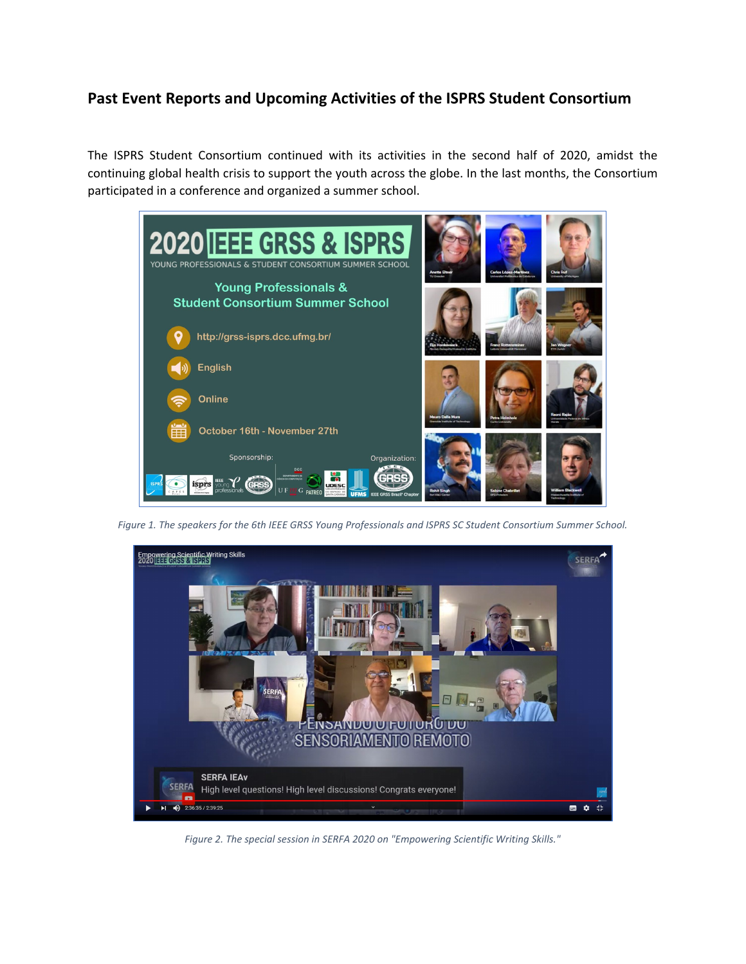## **Past Event Reports and Upcoming Activities of the ISPRS Student Consortium**

The ISPRS Student Consortium continued with its activities in the second half of 2020, amidst the continuing global health crisis to support the youth across the globe. In the last months, the Consortium participated in a conference and organized a summer school.



*Figure 1. The speakers for the 6th IEEE GRSS Young Professionals and ISPRS SC Student Consortium Summer School.*



*Figure 2. The special session in SERFA 2020 on "Empowering Scientific Writing Skills."*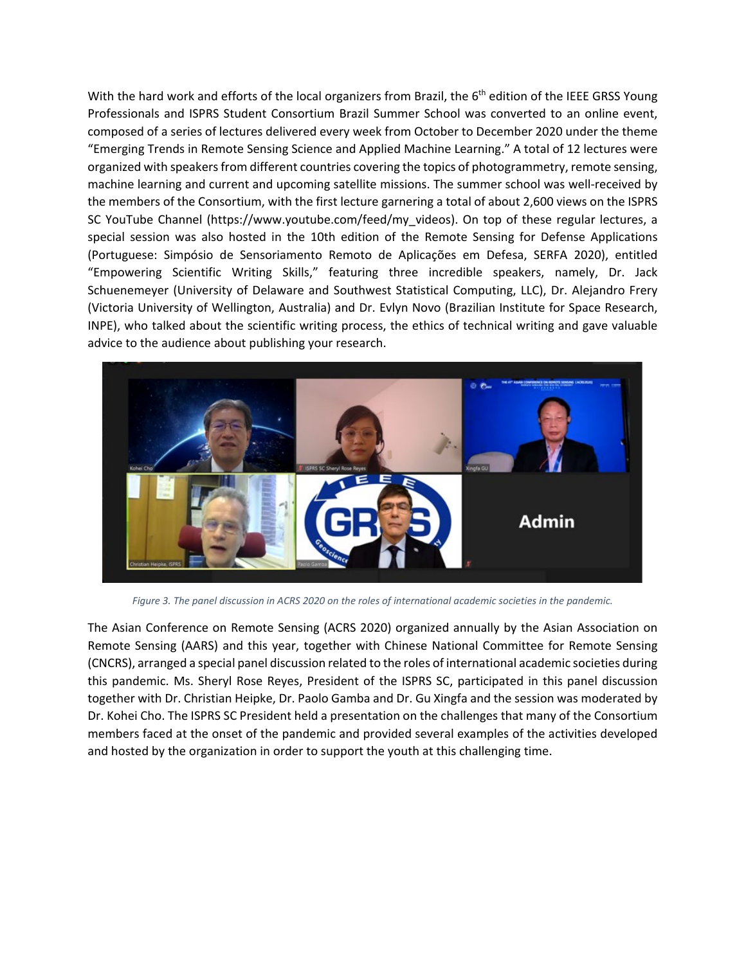With the hard work and efforts of the local organizers from Brazil, the  $6<sup>th</sup>$  edition of the IEEE GRSS Young Professionals and ISPRS Student Consortium Brazil Summer School was converted to an online event, composed of a series of lectures delivered every week from October to December 2020 under the theme "Emerging Trends in Remote Sensing Science and Applied Machine Learning." A total of 12 lectures were organized with speakers from different countries covering the topics of photogrammetry, remote sensing, machine learning and current and upcoming satellite missions. The summer school was well-received by the members of the Consortium, with the first lecture garnering a total of about 2,600 views on the ISPRS SC YouTube Channel (https://www.youtube.com/feed/my\_videos). On top of these regular lectures, a special session was also hosted in the 10th edition of the Remote Sensing for Defense Applications (Portuguese: Simpósio de Sensoriamento Remoto de Aplicações em Defesa, SERFA 2020), entitled "Empowering Scientific Writing Skills," featuring three incredible speakers, namely, Dr. Jack Schuenemeyer (University of Delaware and Southwest Statistical Computing, LLC), Dr. Alejandro Frery (Victoria University of Wellington, Australia) and Dr. Evlyn Novo (Brazilian Institute for Space Research, INPE), who talked about the scientific writing process, the ethics of technical writing and gave valuable advice to the audience about publishing your research.



*Figure 3. The panel discussion in ACRS 2020 on the roles of international academic societies in the pandemic.*

The Asian Conference on Remote Sensing (ACRS 2020) organized annually by the Asian Association on Remote Sensing (AARS) and this year, together with Chinese National Committee for Remote Sensing (CNCRS), arranged a special panel discussion related to the roles of international academic societies during this pandemic. Ms. Sheryl Rose Reyes, President of the ISPRS SC, participated in this panel discussion together with Dr. Christian Heipke, Dr. Paolo Gamba and Dr. Gu Xingfa and the session was moderated by Dr. Kohei Cho. The ISPRS SC President held a presentation on the challenges that many of the Consortium members faced at the onset of the pandemic and provided several examples of the activities developed and hosted by the organization in order to support the youth at this challenging time.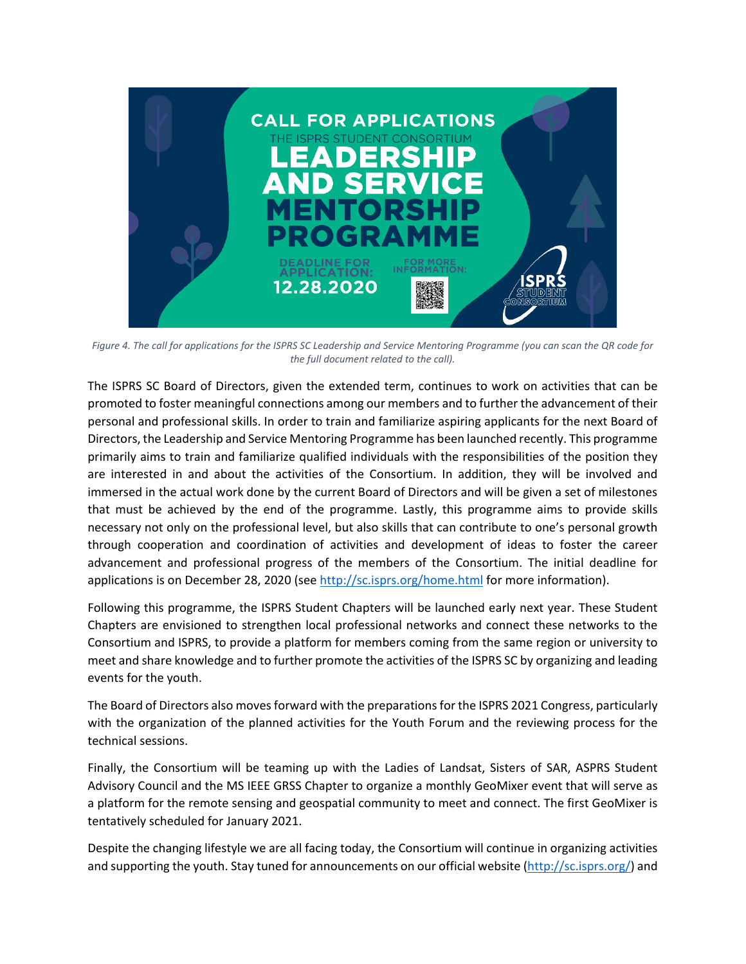

*Figure 4. The call for applications for the ISPRS SC Leadership and Service Mentoring Programme (you can scan the QR code for the full document related to the call).*

The ISPRS SC Board of Directors, given the extended term, continues to work on activities that can be promoted to foster meaningful connections among our members and to further the advancement of their personal and professional skills. In order to train and familiarize aspiring applicants for the next Board of Directors, the Leadership and Service Mentoring Programme has been launched recently. This programme primarily aims to train and familiarize qualified individuals with the responsibilities of the position they are interested in and about the activities of the Consortium. In addition, they will be involved and immersed in the actual work done by the current Board of Directors and will be given a set of milestones that must be achieved by the end of the programme. Lastly, this programme aims to provide skills necessary not only on the professional level, but also skills that can contribute to one's personal growth through cooperation and coordination of activities and development of ideas to foster the career advancement and professional progress of the members of the Consortium. The initial deadline for applications is on December 28, 2020 (se[e http://sc.isprs.org/home.html](http://sc.isprs.org/home.html) for more information).

Following this programme, the ISPRS Student Chapters will be launched early next year. These Student Chapters are envisioned to strengthen local professional networks and connect these networks to the Consortium and ISPRS, to provide a platform for members coming from the same region or university to meet and share knowledge and to further promote the activities of the ISPRS SC by organizing and leading events for the youth.

The Board of Directors also moves forward with the preparations for the ISPRS 2021 Congress, particularly with the organization of the planned activities for the Youth Forum and the reviewing process for the technical sessions.

Finally, the Consortium will be teaming up with the Ladies of Landsat, Sisters of SAR, ASPRS Student Advisory Council and the MS IEEE GRSS Chapter to organize a monthly GeoMixer event that will serve as a platform for the remote sensing and geospatial community to meet and connect. The first GeoMixer is tentatively scheduled for January 2021.

Despite the changing lifestyle we are all facing today, the Consortium will continue in organizing activities and supporting the youth. Stay tuned for announcements on our official website [\(http://sc.isprs.org/\)](http://sc.isprs.org/) and